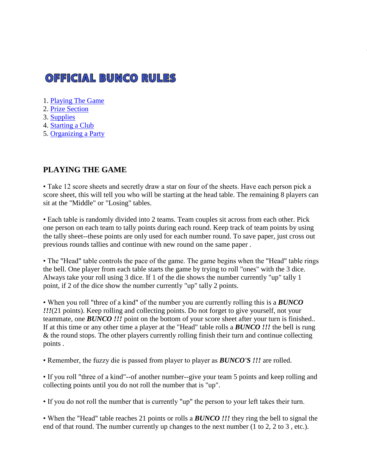# **OFFICIAL BUNCO RULES**

- 1. [Playing The Game](http://www.worldbunco.com/rules.html#playingthegame)
- 2. [Prize Section](http://www.worldbunco.com/rules.html#prizes)
- 3. [Supplies](http://www.worldbunco.com/rules.html#supplies)
- 4. [Starting a Club](http://www.worldbunco.com/rules.html#club)
- 5. [Organizing a Party](http://www.worldbunco.com/rules.html#party)

## **PLAYING THE GAME**

• Take 12 score sheets and secretly draw a star on four of the sheets. Have each person pick a score sheet, this will tell you who will be starting at the head table. The remaining 8 players can sit at the "Middle" or "Losing" tables.

• Each table is randomly divided into 2 teams. Team couples sit across from each other. Pick one person on each team to tally points during each round. Keep track of team points by using the tally sheet--these points are only used for each number round. To save paper, just cross out previous rounds tallies and continue with new round on the same paper .

• The "Head" table controls the pace of the game. The game begins when the "Head" table rings the bell. One player from each table starts the game by trying to roll "ones" with the 3 dice. Always take your roll using 3 dice. If 1 of the die shows the number currently "up" tally 1 point, if 2 of the dice show the number currently "up" tally 2 points.

• When you roll "three of a kind" of the number you are currently rolling this is a *BUNCO !!!*(21 points). Keep rolling and collecting points. Do not forget to give yourself, not your teammate, one **BUNCO !!!** point on the bottom of your score sheet after your turn is finished.. If at this time or any other time a player at the "Head" table rolls a *BUNCO !!!* the bell is rung & the round stops. The other players currently rolling finish their turn and continue collecting points .

• Remember, the fuzzy die is passed from player to player as *BUNCO'S !!!* are rolled.

• If you roll "three of a kind"--of another number--give your team 5 points and keep rolling and collecting points until you do not roll the number that is "up".

• If you do not roll the number that is currently "up" the person to your left takes their turn.

• When the "Head" table reaches 21 points or rolls a *BUNCO !!!* they ring the bell to signal the end of that round. The number currently up changes to the next number (1 to 2, 2 to 3 , etc.).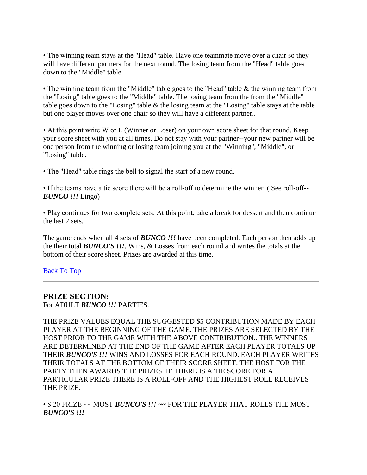• The winning team stays at the "Head" table. Have one teammate move over a chair so they will have different partners for the next round. The losing team from the "Head" table goes down to the "Middle" table.

• The winning team from the "Middle" table goes to the "Head" table & the winning team from the "Losing" table goes to the "Middle" table. The losing team from the from the "Middle" table goes down to the "Losing" table & the losing team at the "Losing" table stays at the table but one player moves over one chair so they will have a different partner..

• At this point write W or L (Winner or Loser) on your own score sheet for that round. Keep your score sheet with you at all times. Do not stay with your partner--your new partner will be one person from the winning or losing team joining you at the "Winning", "Middle", or "Losing" table.

• The "Head" table rings the bell to signal the start of a new round.

• If the teams have a tie score there will be a roll-off to determine the winner. ( See roll-off-- *BUNCO !!!* Lingo)

• Play continues for two complete sets. At this point, take a break for dessert and then continue the last 2 sets.

The game ends when all 4 sets of *BUNCO !!!* have been completed. Each person then adds up the their total *BUNCO'S !!!*, Wins, & Losses from each round and writes the totals at the bottom of their score sheet. Prizes are awarded at this time.

#### [Back To Top](http://www.worldbunco.com/rules.html#top)

#### **PRIZE SECTION:**

For ADULT *BUNCO !!!* PARTIES.

THE PRIZE VALUES EQUAL THE SUGGESTED \$5 CONTRIBUTION MADE BY EACH PLAYER AT THE BEGINNING OF THE GAME. THE PRIZES ARE SELECTED BY THE HOST PRIOR TO THE GAME WITH THE ABOVE CONTRIBUTION.. THE WINNERS ARE DETERMINED AT THE END OF THE GAME AFTER EACH PLAYER TOTALS UP THEIR *BUNCO'S !!!* WINS AND LOSSES FOR EACH ROUND. EACH PLAYER WRITES THEIR TOTALS AT THE BOTTOM OF THEIR SCORE SHEET. THE HOST FOR THE PARTY THEN AWARDS THE PRIZES. IF THERE IS A TIE SCORE FOR A PARTICULAR PRIZE THERE IS A ROLL-OFF AND THE HIGHEST ROLL RECEIVES THE PRIZE.

• \$ 20 PRIZE ~~ MOST *BUNCO'S !!!* ~~ FOR THE PLAYER THAT ROLLS THE MOST *BUNCO'S !!!*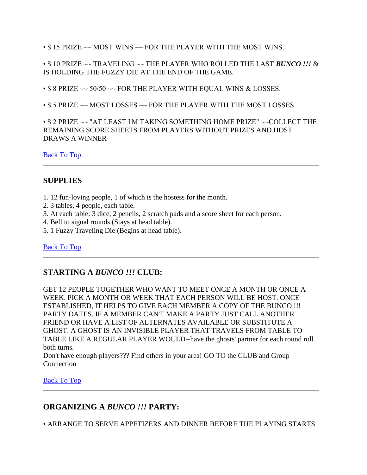$\cdot$  \$ 15 PRIZE  $\sim$  MOST WINS  $\sim$  FOR THE PLAYER WITH THE MOST WINS.

• \$ 10 PRIZE ~~ TRAVELING ~~ THE PLAYER WHO ROLLED THE LAST *BUNCO !!!* & IS HOLDING THE FUZZY DIE AT THE END OF THE GAME.

•  $\$$  8 PRIZE  $\sim$  50/50  $\sim$  FOR THE PLAYER WITH EQUAL WINS & LOSSES.

• \$ 5 PRIZE ~~ MOST LOSSES ~~ FOR THE PLAYER WITH THE MOST LOSSES.

• \$ 2 PRIZE ~~ "AT LEAST I'M TAKING SOMETHING HOME PRIZE" ~~COLLECT THE REMAINING SCORE SHEETS FROM PLAYERS WITHOUT PRIZES AND HOST DRAWS A WINNER

[Back To Top](http://www.worldbunco.com/rules.html#top)

# **SUPPLIES**

- 1. 12 fun-loving people, 1 of which is the hostess for the month.
- 2. 3 tables, 4 people, each table.
- 3. At each table: 3 dice, 2 pencils, 2 scratch pads and a score sheet for each person.
- 4. Bell to signal rounds (Stays at head table).
- 5. 1 Fuzzy Traveling Die (Begins at head table).

## [Back To Top](http://www.worldbunco.com/rules.html#top)

## **STARTING A** *BUNCO !!!* **CLUB:**

GET 12 PEOPLE TOGETHER WHO WANT TO MEET ONCE A MONTH OR ONCE A WEEK. PICK A MONTH OR WEEK THAT EACH PERSON WILL BE HOST. ONCE ESTABLISHED, IT HELPS TO GIVE EACH MEMBER A COPY OF THE BUNCO !!! PARTY DATES. IF A MEMBER CAN'T MAKE A PARTY JUST CALL ANOTHER FRIEND OR HAVE A LIST OF ALTERNATES AVAILABLE OR SUBSTITUTE A GHOST. A GHOST IS AN INVISIBLE PLAYER THAT TRAVELS FROM TABLE TO TABLE LIKE A REGULAR PLAYER WOULD--have the ghosts' partner for each round roll both turns.

Don't have enough players??? Find others in your area! GO TO the CLUB and Group Connection

[Back To Top](http://www.worldbunco.com/rules.html#top)

# **ORGANIZING A** *BUNCO !!!* **PARTY:**

• ARRANGE TO SERVE APPETIZERS AND DINNER BEFORE THE PLAYING STARTS.